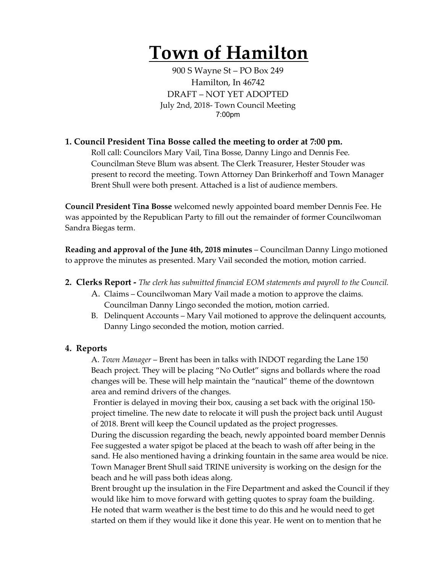# **Town of Hamilton**

900 S Wayne St – PO Box 249 Hamilton, In 46742 DRAFT – NOT YET ADOPTED July 2nd, 2018- Town Council Meeting 7:00pm

### **1. Council President Tina Bosse called the meeting to order at 7:00 pm.**

Roll call: Councilors Mary Vail, Tina Bosse, Danny Lingo and Dennis Fee. Councilman Steve Blum was absent. The Clerk Treasurer, Hester Stouder was present to record the meeting. Town Attorney Dan Brinkerhoff and Town Manager Brent Shull were both present. Attached is a list of audience members.

**Council President Tina Bosse** welcomed newly appointed board member Dennis Fee. He was appointed by the Republican Party to fill out the remainder of former Councilwoman Sandra Biegas term.

**Reading and approval of the June 4th, 2018 minutes** – Councilman Danny Lingo motioned to approve the minutes as presented. Mary Vail seconded the motion, motion carried.

- **2. Clerks Report -** *The clerk has submitted financial EOM statements and payroll to the Council.* 
	- A. Claims Councilwoman Mary Vail made a motion to approve the claims. Councilman Danny Lingo seconded the motion, motion carried.
	- B. Delinquent Accounts Mary Vail motioned to approve the delinquent accounts, Danny Lingo seconded the motion, motion carried.

#### **4. Reports**

A. *Town Manager* – Brent has been in talks with INDOT regarding the Lane 150 Beach project. They will be placing "No Outlet" signs and bollards where the road changes will be. These will help maintain the "nautical" theme of the downtown area and remind drivers of the changes.

Frontier is delayed in moving their box, causing a set back with the original 150 project timeline. The new date to relocate it will push the project back until August of 2018. Brent will keep the Council updated as the project progresses.

During the discussion regarding the beach, newly appointed board member Dennis Fee suggested a water spigot be placed at the beach to wash off after being in the sand. He also mentioned having a drinking fountain in the same area would be nice. Town Manager Brent Shull said TRINE university is working on the design for the beach and he will pass both ideas along.

Brent brought up the insulation in the Fire Department and asked the Council if they would like him to move forward with getting quotes to spray foam the building. He noted that warm weather is the best time to do this and he would need to get started on them if they would like it done this year. He went on to mention that he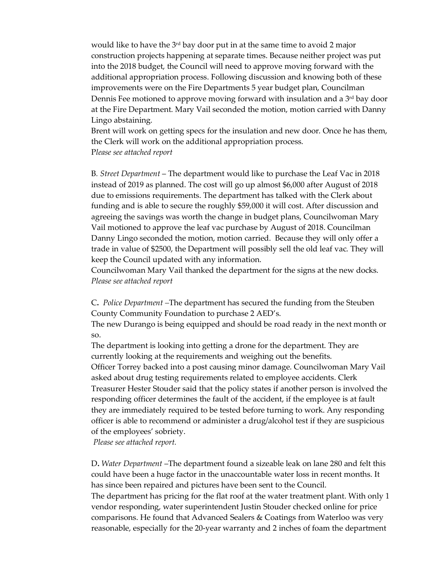would like to have the  $3^{rd}$  bay door put in at the same time to avoid 2 major construction projects happening at separate times. Because neither project was put into the 2018 budget, the Council will need to approve moving forward with the additional appropriation process. Following discussion and knowing both of these improvements were on the Fire Departments 5 year budget plan, Councilman Dennis Fee motioned to approve moving forward with insulation and a  $3<sup>rd</sup>$  bay door at the Fire Department. Mary Vail seconded the motion, motion carried with Danny Lingo abstaining.

Brent will work on getting specs for the insulation and new door. Once he has them, the Clerk will work on the additional appropriation process. P*lease see attached report*

B*. Street Department* – The department would like to purchase the Leaf Vac in 2018 instead of 2019 as planned. The cost will go up almost \$6,000 after August of 2018 due to emissions requirements. The department has talked with the Clerk about funding and is able to secure the roughly \$59,000 it will cost. After discussion and agreeing the savings was worth the change in budget plans, Councilwoman Mary Vail motioned to approve the leaf vac purchase by August of 2018. Councilman Danny Lingo seconded the motion, motion carried. Because they will only offer a trade in value of \$2500, the Department will possibly sell the old leaf vac. They will keep the Council updated with any information.

Councilwoman Mary Vail thanked the department for the signs at the new docks. *Please see attached report*

C**.** *Police Department –*The department has secured the funding from the Steuben County Community Foundation to purchase 2 AED's.

The new Durango is being equipped and should be road ready in the next month or so.

The department is looking into getting a drone for the department. They are currently looking at the requirements and weighing out the benefits. Officer Torrey backed into a post causing minor damage. Councilwoman Mary Vail asked about drug testing requirements related to employee accidents. Clerk Treasurer Hester Stouder said that the policy states if another person is involved the responding officer determines the fault of the accident, if the employee is at fault they are immediately required to be tested before turning to work. Any responding officer is able to recommend or administer a drug/alcohol test if they are suspicious of the employees' sobriety.

*Please see attached report.*

D**.** *Water Department* –The department found a sizeable leak on lane 280 and felt this could have been a huge factor in the unaccountable water loss in recent months. It has since been repaired and pictures have been sent to the Council. The department has pricing for the flat roof at the water treatment plant. With only 1 vendor responding, water superintendent Justin Stouder checked online for price

comparisons. He found that Advanced Sealers & Coatings from Waterloo was very reasonable, especially for the 20-year warranty and 2 inches of foam the department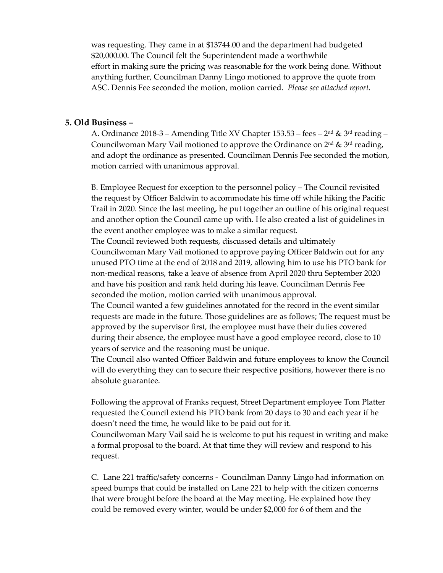was requesting. They came in at \$13744.00 and the department had budgeted \$20,000.00. The Council felt the Superintendent made a worthwhile effort in making sure the pricing was reasonable for the work being done. Without anything further, Councilman Danny Lingo motioned to approve the quote from ASC. Dennis Fee seconded the motion, motion carried. *Please see attached report.* 

#### **5. Old Business –**

A. Ordinance 2018-3 – Amending Title XV Chapter 153.53 – fees –  $2<sup>nd</sup>$  &  $3<sup>rd</sup>$  reading – Councilwoman Mary Vail motioned to approve the Ordinance on  $2^{nd} \& 3^{rd}$  reading, and adopt the ordinance as presented. Councilman Dennis Fee seconded the motion, motion carried with unanimous approval.

B. Employee Request for exception to the personnel policy – The Council revisited the request by Officer Baldwin to accommodate his time off while hiking the Pacific Trail in 2020. Since the last meeting, he put together an outline of his original request and another option the Council came up with. He also created a list of guidelines in the event another employee was to make a similar request.

The Council reviewed both requests, discussed details and ultimately Councilwoman Mary Vail motioned to approve paying Officer Baldwin out for any unused PTO time at the end of 2018 and 2019, allowing him to use his PTO bank for non-medical reasons, take a leave of absence from April 2020 thru September 2020 and have his position and rank held during his leave. Councilman Dennis Fee seconded the motion, motion carried with unanimous approval.

The Council wanted a few guidelines annotated for the record in the event similar requests are made in the future. Those guidelines are as follows; The request must be approved by the supervisor first, the employee must have their duties covered during their absence, the employee must have a good employee record, close to 10 years of service and the reasoning must be unique.

The Council also wanted Officer Baldwin and future employees to know the Council will do everything they can to secure their respective positions, however there is no absolute guarantee.

Following the approval of Franks request, Street Department employee Tom Platter requested the Council extend his PTO bank from 20 days to 30 and each year if he doesn't need the time, he would like to be paid out for it.

Councilwoman Mary Vail said he is welcome to put his request in writing and make a formal proposal to the board. At that time they will review and respond to his request.

C. Lane 221 traffic/safety concerns - Councilman Danny Lingo had information on speed bumps that could be installed on Lane 221 to help with the citizen concerns that were brought before the board at the May meeting. He explained how they could be removed every winter, would be under \$2,000 for 6 of them and the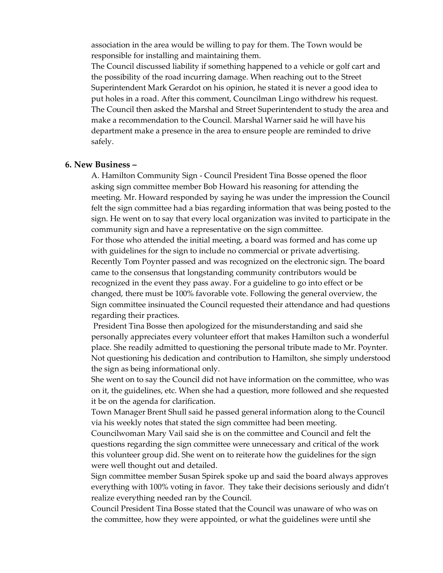association in the area would be willing to pay for them. The Town would be responsible for installing and maintaining them.

The Council discussed liability if something happened to a vehicle or golf cart and the possibility of the road incurring damage. When reaching out to the Street Superintendent Mark Gerardot on his opinion, he stated it is never a good idea to put holes in a road. After this comment, Councilman Lingo withdrew his request. The Council then asked the Marshal and Street Superintendent to study the area and make a recommendation to the Council. Marshal Warner said he will have his department make a presence in the area to ensure people are reminded to drive safely.

#### **6. New Business –**

A. Hamilton Community Sign - Council President Tina Bosse opened the floor asking sign committee member Bob Howard his reasoning for attending the meeting. Mr. Howard responded by saying he was under the impression the Council felt the sign committee had a bias regarding information that was being posted to the sign. He went on to say that every local organization was invited to participate in the community sign and have a representative on the sign committee. For those who attended the initial meeting, a board was formed and has come up with guidelines for the sign to include no commercial or private advertising. Recently Tom Poynter passed and was recognized on the electronic sign. The board came to the consensus that longstanding community contributors would be recognized in the event they pass away. For a guideline to go into effect or be changed, there must be 100% favorable vote. Following the general overview, the Sign committee insinuated the Council requested their attendance and had questions regarding their practices.

President Tina Bosse then apologized for the misunderstanding and said she personally appreciates every volunteer effort that makes Hamilton such a wonderful place. She readily admitted to questioning the personal tribute made to Mr. Poynter. Not questioning his dedication and contribution to Hamilton, she simply understood the sign as being informational only.

She went on to say the Council did not have information on the committee, who was on it, the guidelines, etc. When she had a question, more followed and she requested it be on the agenda for clarification.

Town Manager Brent Shull said he passed general information along to the Council via his weekly notes that stated the sign committee had been meeting.

Councilwoman Mary Vail said she is on the committee and Council and felt the questions regarding the sign committee were unnecessary and critical of the work this volunteer group did. She went on to reiterate how the guidelines for the sign were well thought out and detailed.

Sign committee member Susan Spirek spoke up and said the board always approves everything with 100% voting in favor. They take their decisions seriously and didn't realize everything needed ran by the Council.

Council President Tina Bosse stated that the Council was unaware of who was on the committee, how they were appointed, or what the guidelines were until she